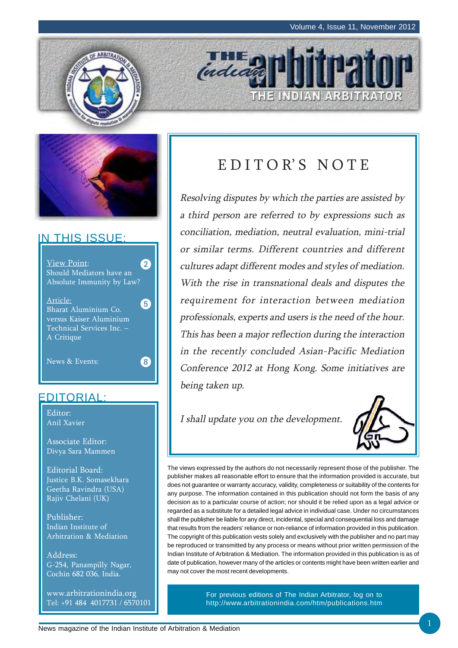THE INDIAN ARBITRATOR





### IN THIS ISSUE:



### EDITORIAL:

Editor: Anil Xavier

Associate Editor: Divya Sara Mammen

Editorial Board: Justice B.K. Somasekhara Geetha Ravindra (USA) Rajiv Chelani (UK)

Publisher: Indian Institute of Arbitration & Mediation

Address: G-254, Panampilly Nagar, Cochin 682 036, India.

www.arbitrationindia.org Tel: +91 484 4017731 / 6570101

## E D I T O R' S N O T E

indead

Resolving disputes by which the parties are assisted by a third person are referred to by expressions such as conciliation, mediation, neutral evaluation, mini-trial or similar terms. Different countries and different cultures adapt different modes and styles of mediation. With the rise in transnational deals and disputes the requirement for interaction between mediation professionals, experts and users is the need of the hour. This has been a major reflection during the interaction in the recently concluded Asian-Pacific Mediation Conference 2012 at Hong Kong. Some initiatives are being taken up.

I shall update you on the development.



The views expressed by the authors do not necessarily represent those of the publisher. The publisher makes all reasonable effort to ensure that the information provided is accurate, but does not guarantee or warranty accuracy, validity, completeness or suitability of the contents for any purpose. The information contained in this publication should not form the basis of any decision as to a particular course of action; nor should it be relied upon as a legal advice or regarded as a substitute for a detailed legal advice in individual case. Under no circumstances shall the publisher be liable for any direct, incidental, special and consequential loss and damage that results from the readers' reliance or non-reliance of information provided in this publication. The copyright of this publication vests solely and exclusively with the publisher and no part may be reproduced or transmitted by any process or means without prior written permission of the Indian Institute of Arbitration & Mediation. The information provided in this publication is as of date of publication, however many of the articles or contents might have been written earlier and may not cover the most recent developments.

> For previous editions of The Indian Arbitrator, log on to http://www.arbitrationindia.com/htm/publications.htm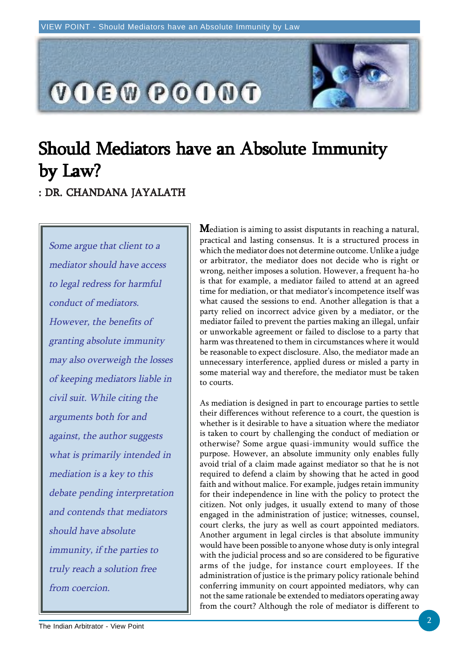

## Should Mediators have an Absolute Immunity by Law? : DR. CHANDANA JAYALATH

Some argue that client to a mediator should have access to legal redress for harmful conduct of mediators. However, the benefits of granting absolute immunity may also overweigh the losses of keeping mediators liable in civil suit. While citing the arguments both for and against, the author suggests what is primarily intended in mediation is a key to this debate pending interpretation and contends that mediators should have absolute immunity, if the parties to truly reach a solution free from coercion.

**M**ediation is aiming to assist disputants in reaching a natural, practical and lasting consensus. It is a structured process in which the mediator does not determine outcome. Unlike a judge or arbitrator, the mediator does not decide who is right or wrong, neither imposes a solution. However, a frequent ha-ho is that for example, a mediator failed to attend at an agreed time for mediation, or that mediator's incompetence itself was what caused the sessions to end. Another allegation is that a party relied on incorrect advice given by a mediator, or the mediator failed to prevent the parties making an illegal, unfair or unworkable agreement or failed to disclose to a party that harm was threatened to them in circumstances where it would be reasonable to expect disclosure. Also, the mediator made an unnecessary interference, applied duress or misled a party in some material way and therefore, the mediator must be taken to courts.

As mediation is designed in part to encourage parties to settle their differences without reference to a court, the question is whether is it desirable to have a situation where the mediator is taken to court by challenging the conduct of mediation or otherwise? Some argue quasi-immunity would suffice the purpose. However, an absolute immunity only enables fully avoid trial of a claim made against mediator so that he is not required to defend a claim by showing that he acted in good faith and without malice. For example, judges retain immunity for their independence in line with the policy to protect the citizen. Not only judges, it usually extend to many of those engaged in the administration of justice; witnesses, counsel, court clerks, the jury as well as court appointed mediators. Another argument in legal circles is that absolute immunity would have been possible to anyone whose duty is only integral with the judicial process and so are considered to be figurative arms of the judge, for instance court employees. If the administration of justice is the primary policy rationale behind conferring immunity on court appointed mediators, why can not the same rationale be extended to mediators operating away from the court? Although the role of mediator is different to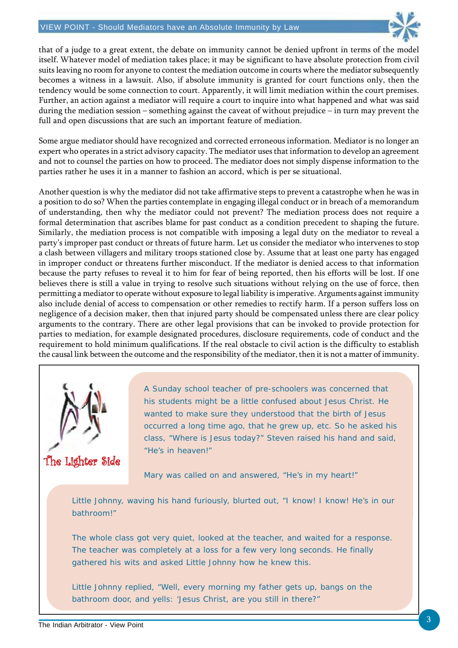

that of a judge to a great extent, the debate on immunity cannot be denied upfront in terms of the model itself. Whatever model of mediation takes place; it may be significant to have absolute protection from civil suits leaving no room for anyone to contest the mediation outcome in courts where the mediator subsequently becomes a witness in a lawsuit. Also, if absolute immunity is granted for court functions only, then the tendency would be some connection to court. Apparently, it will limit mediation within the court premises. Further, an action against a mediator will require a court to inquire into what happened and what was said during the mediation session – something against the caveat of without prejudice – in turn may prevent the full and open discussions that are such an important feature of mediation.

Some argue mediator should have recognized and corrected erroneous information. Mediator is no longer an expert who operates in a strict advisory capacity. The mediator uses that information to develop an agreement and not to counsel the parties on how to proceed. The mediator does not simply dispense information to the parties rather he uses it in a manner to fashion an accord, which is per se situational.

Another question is why the mediator did not take affirmative steps to prevent a catastrophe when he was in a position to do so? When the parties contemplate in engaging illegal conduct or in breach of a memorandum of understanding, then why the mediator could not prevent? The mediation process does not require a formal determination that ascribes blame for past conduct as a condition precedent to shaping the future. Similarly, the mediation process is not compatible with imposing a legal duty on the mediator to reveal a party's improper past conduct or threats of future harm. Let us consider the mediator who intervenes to stop a clash between villagers and military troops stationed close by. Assume that at least one party has engaged in improper conduct or threatens further misconduct. If the mediator is denied access to that information because the party refuses to reveal it to him for fear of being reported, then his efforts will be lost. If one believes there is still a value in trying to resolve such situations without relying on the use of force, then permitting a mediator to operate without exposure to legal liability is imperative. Arguments against immunity also include denial of access to compensation or other remedies to rectify harm. If a person suffers loss on negligence of a decision maker, then that injured party should be compensated unless there are clear policy arguments to the contrary. There are other legal provisions that can be invoked to provide protection for parties to mediation, for example designated procedures, disclosure requirements, code of conduct and the requirement to hold minimum qualifications. If the real obstacle to civil action is the difficulty to establish the causal link between the outcome and the responsibility of the mediator, then it is not a matter of immunity.



The Lighter Side

A Sunday school teacher of pre-schoolers was concerned that his students might be a little confused about Jesus Christ. He wanted to make sure they understood that the birth of Jesus occurred a long time ago, that he grew up, etc. So he asked his class, "Where is Jesus today?" Steven raised his hand and said, "He's in heaven!"

Mary was called on and answered, "He's in my heart!"

Little Johnny, waving his hand furiously, blurted out, "I know! I know! He's in our bathroom!"

The whole class got very quiet, looked at the teacher, and waited for a response. The teacher was completely at a loss for a few very long seconds. He finally gathered his wits and asked Little Johnny how he knew this.

Little Johnny replied, "Well, every morning my father gets up, bangs on the bathroom door, and yells: 'Jesus Christ, are you still in there?"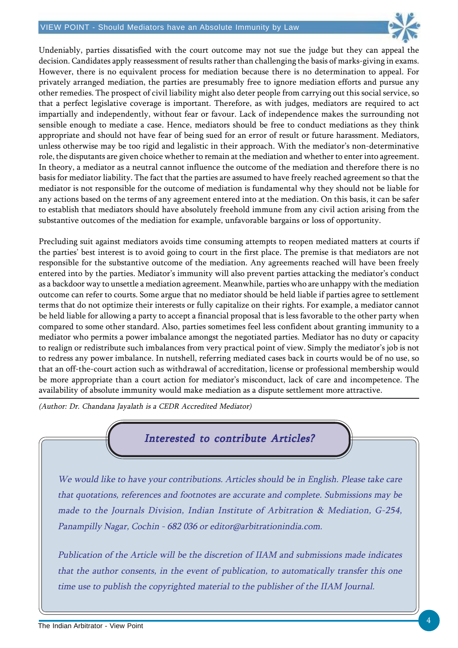#### VIEW POINT - Should Mediators have an Absolute Immunity by Law



Undeniably, parties dissatisfied with the court outcome may not sue the judge but they can appeal the decision. Candidates apply reassessment of results rather than challenging the basis of marks-giving in exams. However, there is no equivalent process for mediation because there is no determination to appeal. For privately arranged mediation, the parties are presumably free to ignore mediation efforts and pursue any other remedies. The prospect of civil liability might also deter people from carrying out this social service, so that a perfect legislative coverage is important. Therefore, as with judges, mediators are required to act impartially and independently, without fear or favour. Lack of independence makes the surrounding not sensible enough to mediate a case. Hence, mediators should be free to conduct mediations as they think appropriate and should not have fear of being sued for an error of result or future harassment. Mediators, unless otherwise may be too rigid and legalistic in their approach. With the mediator's non-determinative role, the disputants are given choice whether to remain at the mediation and whether to enter into agreement. In theory, a mediator as a neutral cannot influence the outcome of the mediation and therefore there is no basis for mediator liability. The fact that the parties are assumed to have freely reached agreement so that the mediator is not responsible for the outcome of mediation is fundamental why they should not be liable for any actions based on the terms of any agreement entered into at the mediation. On this basis, it can be safer to establish that mediators should have absolutely freehold immune from any civil action arising from the substantive outcomes of the mediation for example, unfavorable bargains or loss of opportunity.

Precluding suit against mediators avoids time consuming attempts to reopen mediated matters at courts if the parties' best interest is to avoid going to court in the first place. The premise is that mediators are not responsible for the substantive outcome of the mediation. Any agreements reached will have been freely entered into by the parties. Mediator's immunity will also prevent parties attacking the mediator's conduct as a backdoor way to unsettle a mediation agreement. Meanwhile, parties who are unhappy with the mediation outcome can refer to courts. Some argue that no mediator should be held liable if parties agree to settlement terms that do not optimize their interests or fully capitalize on their rights. For example, a mediator cannot be held liable for allowing a party to accept a financial proposal that is less favorable to the other party when compared to some other standard. Also, parties sometimes feel less confident about granting immunity to a mediator who permits a power imbalance amongst the negotiated parties. Mediator has no duty or capacity to realign or redistribute such imbalances from very practical point of view. Simply the mediator's job is not to redress any power imbalance. In nutshell, referring mediated cases back in courts would be of no use, so that an off-the-court action such as withdrawal of accreditation, license or professional membership would be more appropriate than a court action for mediator's misconduct, lack of care and incompetence. The availability of absolute immunity would make mediation as a dispute settlement more attractive.

(Author: Dr. Chandana Jayalath is a CEDR Accredited Mediator)

### Interested to contribute Articles?

We would like to have your contributions. Articles should be in English. Please take care that quotations, references and footnotes are accurate and complete. Submissions may be made to the Journals Division, Indian Institute of Arbitration & Mediation, G-254, Panampilly Nagar, Cochin - 682 036 or editor@arbitrationindia.com.

Publication of the Article will be the discretion of IIAM and submissions made indicates that the author consents, in the event of publication, to automatically transfer this one time use to publish the copyrighted material to the publisher of the IIAM Journal.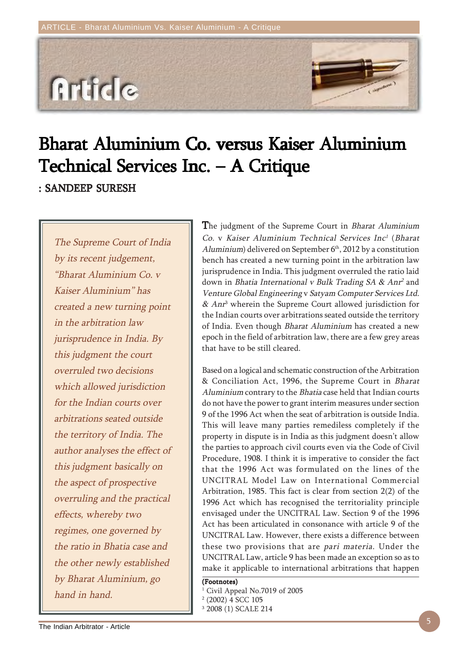

# Bharat Aluminium Co. versus Kaiser Aluminium Technical Services Inc.  $-$  A Critique

: SANDEEP SURESH

The Supreme Court of India by its recent judgement, "Bharat Aluminium Co. v Kaiser Aluminium" has created a new turning point in the arbitration law jurisprudence in India. By this judgment the court overruled two decisions which allowed jurisdiction for the Indian courts over arbitrations seated outside the territory of India. The author analyses the effect of this judgment basically on the aspect of prospective overruling and the practical effects, whereby two regimes, one governed by the ratio in Bhatia case and the other newly established by Bharat Aluminium, go hand in hand.

The judgment of the Supreme Court in *Bharat Aluminium* Co. v Kaiser Aluminium Technical Services Inc<sup>1</sup> (Bharat Aluminium) delivered on September  $6<sup>th</sup>$ , 2012 by a constitution bench has created a new turning point in the arbitration law jurisprudence in India. This judgment overruled the ratio laid down in Bhatia International v Bulk Trading SA & Anr<sup>2</sup> and Venture Global Engineering v Satyam Computer Services Ltd. & Anr<sup>3</sup> wherein the Supreme Court allowed jurisdiction for the Indian courts over arbitrations seated outside the territory of India. Even though Bharat Aluminium has created a new epoch in the field of arbitration law, there are a few grey areas that have to be still cleared.

Based on a logical and schematic construction of the Arbitration & Conciliation Act, 1996, the Supreme Court in Bharat Aluminium contrary to the Bhatia case held that Indian courts do not have the power to grant interim measures under section 9 of the 1996 Act when the seat of arbitration is outside India. This will leave many parties remediless completely if the property in dispute is in India as this judgment doesn't allow the parties to approach civil courts even via the Code of Civil Procedure, 1908. I think it is imperative to consider the fact that the 1996 Act was formulated on the lines of the UNCITRAL Model Law on International Commercial Arbitration, 1985. This fact is clear from section 2(2) of the 1996 Act which has recognised the territoriality principle envisaged under the UNCITRAL Law. Section 9 of the 1996 Act has been articulated in consonance with article 9 of the UNCITRAL Law. However, there exists a difference between these two provisions that are pari materia. Under the UNCITRAL Law, article 9 has been made an exception so as to make it applicable to international arbitrations that happen

(Footnotes)

- <sup>1</sup> Civil Appeal No.7019 of 2005
- 2 (2002) 4 SCC 105
- 3 2008 (1) SCALE 214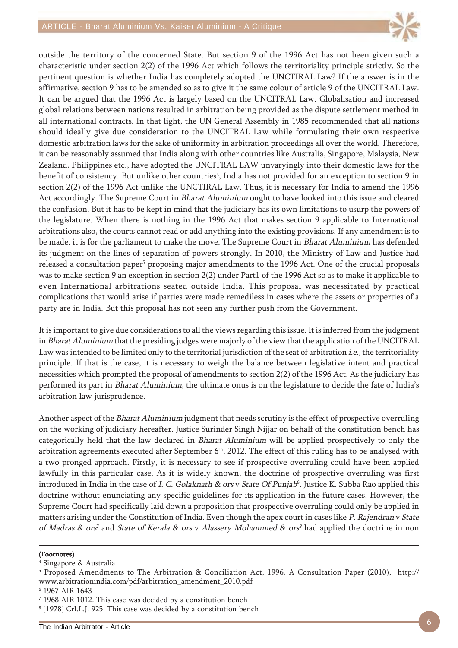

outside the territory of the concerned State. But section 9 of the 1996 Act has not been given such a characteristic under section 2(2) of the 1996 Act which follows the territoriality principle strictly. So the pertinent question is whether India has completely adopted the UNCTIRAL Law? If the answer is in the affirmative, section 9 has to be amended so as to give it the same colour of article 9 of the UNCITRAL Law. It can be argued that the 1996 Act is largely based on the UNCITRAL Law. Globalisation and increased global relations between nations resulted in arbitration being provided as the dispute settlement method in all international contracts. In that light, the UN General Assembly in 1985 recommended that all nations should ideally give due consideration to the UNCITRAL Law while formulating their own respective domestic arbitration laws for the sake of uniformity in arbitration proceedings all over the world. Therefore, it can be reasonably assumed that India along with other countries like Australia, Singapore, Malaysia, New Zealand, Philippines etc., have adopted the UNCITRAL LAW unvaryingly into their domestic laws for the benefit of consistency. But unlike other countries<sup>4</sup>, India has not provided for an exception to section 9 in section 2(2) of the 1996 Act unlike the UNCTIRAL Law. Thus, it is necessary for India to amend the 1996 Act accordingly. The Supreme Court in Bharat Aluminium ought to have looked into this issue and cleared the confusion. But it has to be kept in mind that the judiciary has its own limitations to usurp the powers of the legislature. When there is nothing in the 1996 Act that makes section 9 applicable to International arbitrations also, the courts cannot read or add anything into the existing provisions. If any amendment is to be made, it is for the parliament to make the move. The Supreme Court in Bharat Aluminium has defended its judgment on the lines of separation of powers strongly. In 2010, the Ministry of Law and Justice had released a consultation paper<sup>5</sup> proposing major amendments to the 1996 Act. One of the crucial proposals was to make section 9 an exception in section 2(2) under Part1 of the 1996 Act so as to make it applicable to even International arbitrations seated outside India. This proposal was necessitated by practical complications that would arise if parties were made remediless in cases where the assets or properties of a party are in India. But this proposal has not seen any further push from the Government.

It is important to give due considerations to all the views regarding this issue. It is inferred from the judgment in Bharat Aluminium that the presiding judges were majorly of the view that the application of the UNCITRAL Law was intended to be limited only to the territorial jurisdiction of the seat of arbitration *i.e.*, the territoriality principle. If that is the case, it is necessary to weigh the balance between legislative intent and practical necessities which prompted the proposal of amendments to section 2(2) of the 1996 Act. As the judiciary has performed its part in Bharat Aluminium, the ultimate onus is on the legislature to decide the fate of India's arbitration law jurisprudence.

Another aspect of the Bharat Aluminium judgment that needs scrutiny is the effect of prospective overruling on the working of judiciary hereafter. Justice Surinder Singh Nijjar on behalf of the constitution bench has categorically held that the law declared in Bharat Aluminium will be applied prospectively to only the arbitration agreements executed after September 6<sup>th</sup>, 2012. The effect of this ruling has to be analysed with a two pronged approach. Firstly, it is necessary to see if prospective overruling could have been applied lawfully in this particular case. As it is widely known, the doctrine of prospective overruling was first introduced in India in the case of *I. C. Golaknath & ors* v *State Of Punjab*<sup>6</sup>. Justice K. Subba Rao applied this doctrine without enunciating any specific guidelines for its application in the future cases. However, the Supreme Court had specifically laid down a proposition that prospective overruling could only be applied in matters arising under the Constitution of India. Even though the apex court in cases like P. Rajendran v State *of Madras & ors<sup>7</sup>* and *State of Kerala & ors* v *Alassery Mohammed & ors<sup>8</sup> ha*d applied the doctrine in non

#### (Footnotes)

4 Singapore & Australia

<sup>5</sup> Proposed Amendments to The Arbitration & Conciliation Act, 1996, A Consultation Paper (2010), http:// www.arbitrationindia.com/pdf/arbitration\_amendment\_2010.pdf

<sup>6</sup> 1967 AIR 1643

<sup>7</sup> 1968 AIR 1012. This case was decided by a constitution bench

<sup>8</sup> [1978] Crl.L.J. 925. This case was decided by a constitution bench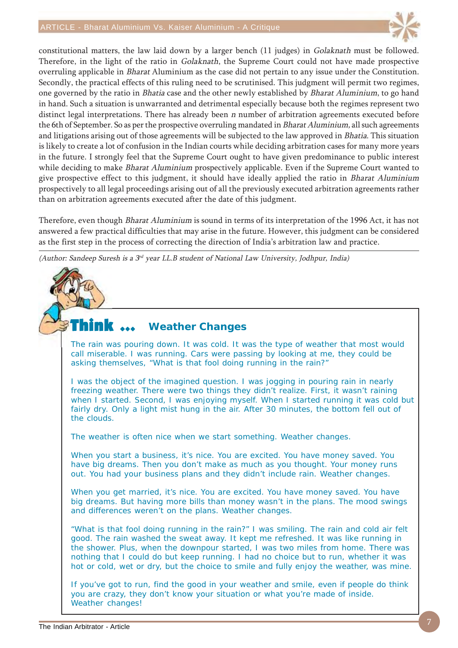

constitutional matters, the law laid down by a larger bench (11 judges) in Golaknath must be followed. Therefore, in the light of the ratio in Golaknath, the Supreme Court could not have made prospective overruling applicable in Bharat Aluminium as the case did not pertain to any issue under the Constitution. Secondly, the practical effects of this ruling need to be scrutinised. This judgment will permit two regimes, one governed by the ratio in Bhatia case and the other newly established by Bharat Aluminium, to go hand in hand. Such a situation is unwarranted and detrimental especially because both the regimes represent two distinct legal interpretations. There has already been  $n$  number of arbitration agreements executed before the 6th of September. So as per the prospective overruling mandated in Bharat Aluminium, all such agreements and litigations arising out of those agreements will be subjected to the law approved in Bhatia. This situation is likely to create a lot of confusion in the Indian courts while deciding arbitration cases for many more years in the future. I strongly feel that the Supreme Court ought to have given predominance to public interest while deciding to make Bharat Aluminium prospectively applicable. Even if the Supreme Court wanted to give prospective effect to this judgment, it should have ideally applied the ratio in Bharat Aluminium prospectively to all legal proceedings arising out of all the previously executed arbitration agreements rather than on arbitration agreements executed after the date of this judgment.

Therefore, even though Bharat Aluminium is sound in terms of its interpretation of the 1996 Act, it has not answered a few practical difficulties that may arise in the future. However, this judgment can be considered as the first step in the process of correcting the direction of India's arbitration law and practice.

(Author: Sandeep Suresh is a 3rd year LL.B student of National Law University, Jodhpur, India)

#### Think  $\ldots$ **Weather Changes**

The rain was pouring down. It was cold. It was the type of weather that most would call miserable. I was running. Cars were passing by looking at me, they could be asking themselves, "What is that fool doing running in the rain?"

I was the object of the imagined question. I was jogging in pouring rain in nearly freezing weather. There were two things they didn't realize. First, it wasn't raining when I started. Second, I was enjoying myself. When I started running it was cold but fairly dry. Only a light mist hung in the air. After 30 minutes, the bottom fell out of the clouds.

The weather is often nice when we start something. Weather changes.

When you start a business, it's nice. You are excited. You have money saved. You have big dreams. Then you don't make as much as you thought. Your money runs out. You had your business plans and they didn't include rain. Weather changes.

When you get married, it's nice. You are excited. You have money saved. You have big dreams. But having more bills than money wasn't in the plans. The mood swings and differences weren't on the plans. Weather changes.

"What is that fool doing running in the rain?" I was smiling. The rain and cold air felt good. The rain washed the sweat away. It kept me refreshed. It was like running in the shower. Plus, when the downpour started, I was two miles from home. There was nothing that I could do but keep running. I had no choice but to run, whether it was hot or cold, wet or dry, but the choice to smile and fully enjoy the weather, was mine.

If you've got to run, find the good in your weather and smile, even if people do think you are crazy, they don't know your situation or what you're made of inside. Weather changes!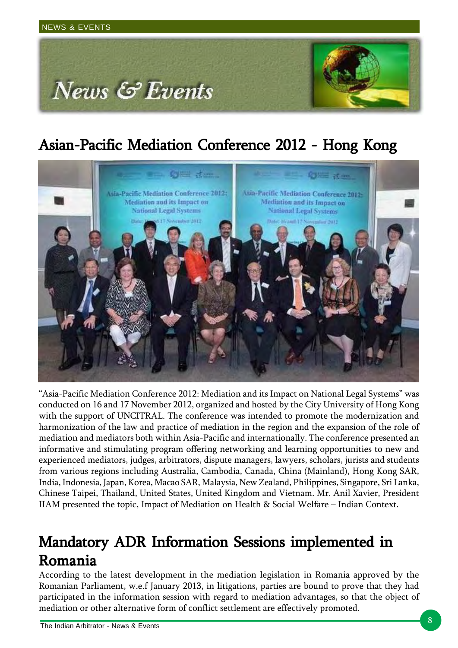

## Asian-Pacific Mediation Conference 2012 - Hong Kong



"Asia-Pacific Mediation Conference 2012: Mediation and its Impact on National Legal Systems" was conducted on 16 and 17 November 2012, organized and hosted by the City University of Hong Kong with the support of UNCITRAL. The conference was intended to promote the modernization and harmonization of the law and practice of mediation in the region and the expansion of the role of mediation and mediators both within Asia-Pacific and internationally. The conference presented an informative and stimulating program offering networking and learning opportunities to new and experienced mediators, judges, arbitrators, dispute managers, lawyers, scholars, jurists and students from various regions including Australia, Cambodia, Canada, China (Mainland), Hong Kong SAR, India, Indonesia, Japan, Korea, Macao SAR, Malaysia, New Zealand, Philippines, Singapore, Sri Lanka, Chinese Taipei, Thailand, United States, United Kingdom and Vietnam. Mr. Anil Xavier, President IIAM presented the topic, Impact of Mediation on Health & Social Welfare – Indian Context.

### Mandatory ADR Information Sessions implemented in Romania Romania

According to the latest development in the mediation legislation in Romania approved by the Romanian Parliament, w.e.f January 2013, in litigations, parties are bound to prove that they had participated in the information session with regard to mediation advantages, so that the object of mediation or other alternative form of conflict settlement are effectively promoted.